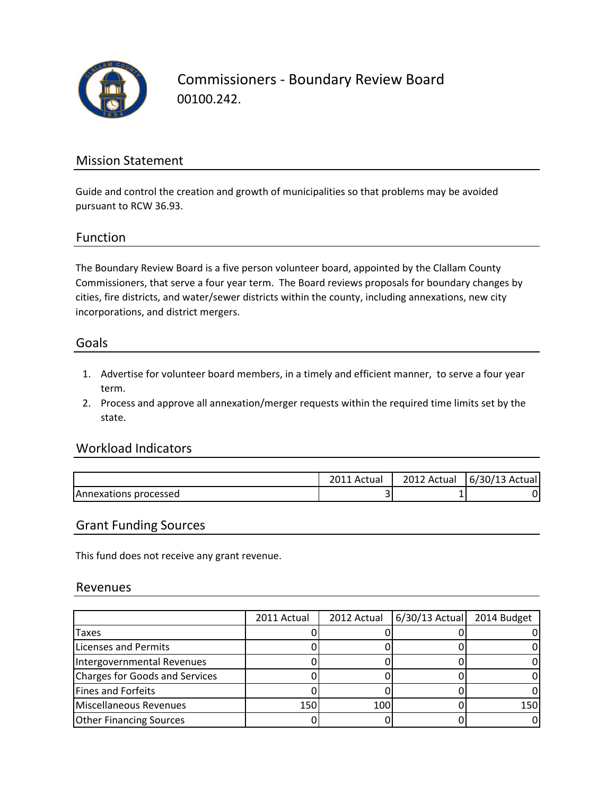

Commissioners - Boundary Review Board 00100.242.

## Mission Statement

Guide and control the creation and growth of municipalities so that problems may be avoided pursuant to RCW 36.93.

### Function

The Boundary Review Board is a five person volunteer board, appointed by the Clallam County Commissioners, that serve a four year term. The Board reviews proposals for boundary changes by cities, fire districts, and water/sewer districts within the county, including annexations, new city incorporations, and district mergers.

#### Goals

- 1. Advertise for volunteer board members, in a timely and efficient manner, to serve a four year term.
- 2. Process and approve all annexation/merger requests within the required time limits set by the state.

### Workload Indicators

|                       | Actual                | 2012 Actual | 6/30/13 Actual |
|-----------------------|-----------------------|-------------|----------------|
| Annexations processed | $\tilde{\phantom{a}}$ |             |                |

#### Grant Funding Sources

This fund does not receive any grant revenue.

#### Revenues

|                                | 2011 Actual | 2012 Actual | $6/30/13$ Actual | 2014 Budget |
|--------------------------------|-------------|-------------|------------------|-------------|
| Taxes                          |             |             |                  |             |
| Licenses and Permits           |             |             |                  |             |
| Intergovernmental Revenues     |             |             |                  |             |
| Charges for Goods and Services |             |             |                  |             |
| <b>Fines and Forfeits</b>      |             |             |                  |             |
| Miscellaneous Revenues         | 150         | 100         |                  | 150         |
| <b>Other Financing Sources</b> |             |             |                  |             |